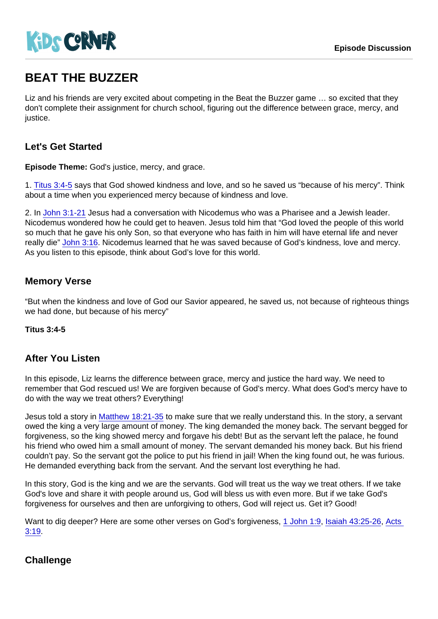# BEAT THE BUZZER

Liz and his friends are very excited about competing in the Beat the Buzzer game … so excited that they don't complete their assignment for church school, figuring out the difference between grace, mercy, and justice.

# Let's Get Started

Episode Theme: God's justice, mercy, and grace.

1. [Titus 3:4-5](https://www.biblegateway.com/passage/?search=Titus+3:4-5) says that God showed kindness and love, and so he saved us "because of his mercy". Think about a time when you experienced mercy because of kindness and love.

2. In [John 3:1-21](https://www.biblegateway.com/passage/?search=John+3:1-21) Jesus had a conversation with Nicodemus who was a Pharisee and a Jewish leader. Nicodemus wondered how he could get to heaven. Jesus told him that "God loved the people of this world so much that he gave his only Son, so that everyone who has faith in him will have eternal life and never really die" [John 3:16](https://www.biblegateway.com/passage/?search=John+3:16). Nicodemus learned that he was saved because of God's kindness, love and mercy. As you listen to this episode, think about God's love for this world.

### Memory Verse

"But when the kindness and love of God our Savior appeared, he saved us, not because of righteous things we had done, but because of his mercy"

Titus 3:4-5

#### After You Listen

In this episode, Liz learns the difference between grace, mercy and justice the hard way. We need to remember that God rescued us! We are forgiven because of God's mercy. What does God's mercy have to do with the way we treat others? Everything!

Jesus told a story in [Matthew 18:21-35](https://www.biblegateway.com/passage/?search=Matthew+18:21-35) to make sure that we really understand this. In the story, a servant owed the king a very large amount of money. The king demanded the money back. The servant begged for forgiveness, so the king showed mercy and forgave his debt! But as the servant left the palace, he found his friend who owed him a small amount of money. The servant demanded his money back. But his friend couldn't pay. So the servant got the police to put his friend in jail! When the king found out, he was furious. He demanded everything back from the servant. And the servant lost everything he had.

In this story, God is the king and we are the servants. God will treat us the way we treat others. If we take God's love and share it with people around us, God will bless us with even more. But if we take God's forgiveness for ourselves and then are unforgiving to others, God will reject us. Get it? Good!

Want to dig deeper? Here are some other verses on God's forgiveness, [1 John 1:9](https://www.biblegateway.com/passage/?search=1+John+1:9), [Isaiah 43:25-26](https://www.biblegateway.com/passage/?search=Isaiah+43:25-26), [Acts](https://www.biblegateway.com/passage/?search=Acts+3:19)  [3:19](https://www.biblegateway.com/passage/?search=Acts+3:19).

#### **Challenge**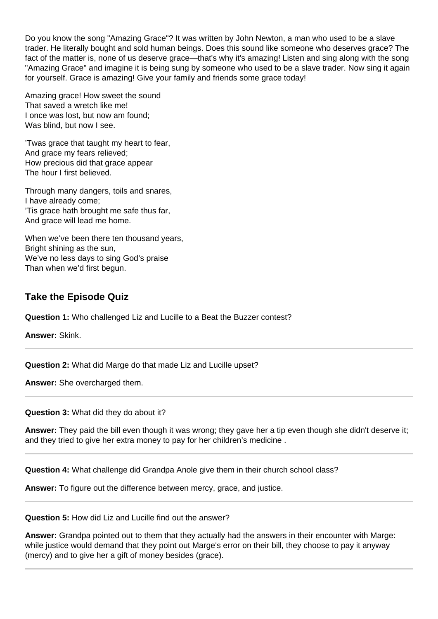Do you know the song "Amazing Grace"? It was written by John Newton, a man who used to be a slave trader. He literally bought and sold human beings. Does this sound like someone who deserves grace? The fact of the matter is, none of us deserve grace—that's why it's amazing! Listen and sing along with the song "Amazing Grace" and imagine it is being sung by someone who used to be a slave trader. Now sing it again for yourself. Grace is amazing! Give your family and friends some grace today!

Amazing grace! How sweet the sound That saved a wretch like me! I once was lost, but now am found; Was blind, but now I see.

'Twas grace that taught my heart to fear, And grace my fears relieved; How precious did that grace appear The hour I first believed.

Through many dangers, toils and snares, I have already come; 'Tis grace hath brought me safe thus far, And grace will lead me home.

When we've been there ten thousand years, Bright shining as the sun, We've no less days to sing God's praise Than when we'd first begun.

## **Take the Episode Quiz**

**Question 1:** Who challenged Liz and Lucille to a Beat the Buzzer contest?

**Answer:** Skink.

**Question 2:** What did Marge do that made Liz and Lucille upset?

**Answer:** She overcharged them.

**Question 3:** What did they do about it?

**Answer:** They paid the bill even though it was wrong; they gave her a tip even though she didn't deserve it; and they tried to give her extra money to pay for her children's medicine .

**Question 4:** What challenge did Grandpa Anole give them in their church school class?

**Answer:** To figure out the difference between mercy, grace, and justice.

**Question 5:** How did Liz and Lucille find out the answer?

**Answer:** Grandpa pointed out to them that they actually had the answers in their encounter with Marge: while justice would demand that they point out Marge's error on their bill, they choose to pay it anyway (mercy) and to give her a gift of money besides (grace).